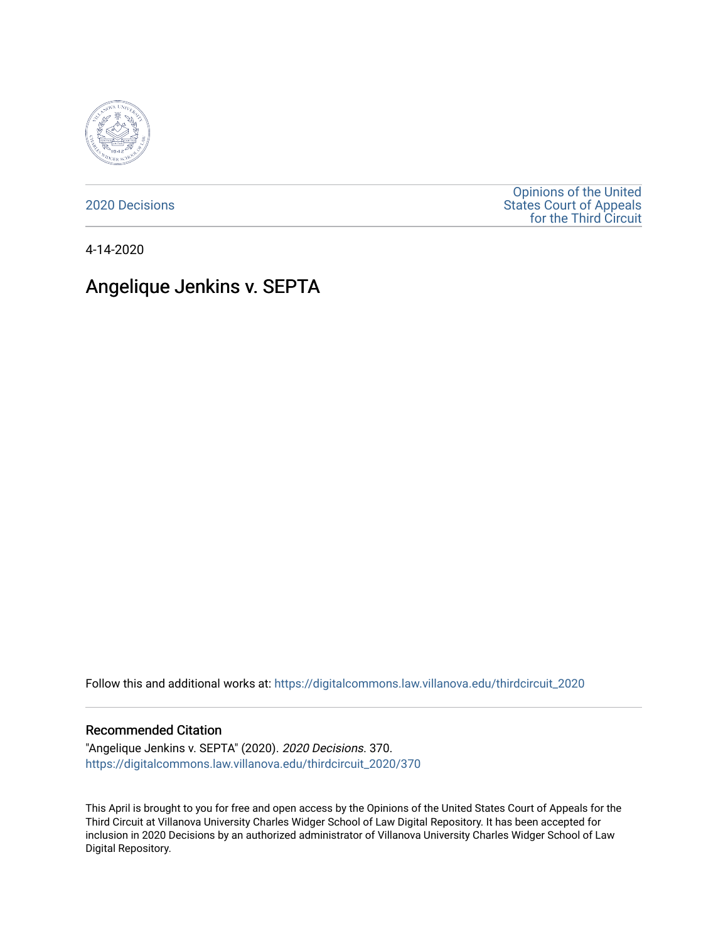

[2020 Decisions](https://digitalcommons.law.villanova.edu/thirdcircuit_2020)

[Opinions of the United](https://digitalcommons.law.villanova.edu/thirdcircuit)  [States Court of Appeals](https://digitalcommons.law.villanova.edu/thirdcircuit)  [for the Third Circuit](https://digitalcommons.law.villanova.edu/thirdcircuit) 

4-14-2020

# Angelique Jenkins v. SEPTA

Follow this and additional works at: [https://digitalcommons.law.villanova.edu/thirdcircuit\\_2020](https://digitalcommons.law.villanova.edu/thirdcircuit_2020?utm_source=digitalcommons.law.villanova.edu%2Fthirdcircuit_2020%2F370&utm_medium=PDF&utm_campaign=PDFCoverPages) 

#### Recommended Citation

"Angelique Jenkins v. SEPTA" (2020). 2020 Decisions. 370. [https://digitalcommons.law.villanova.edu/thirdcircuit\\_2020/370](https://digitalcommons.law.villanova.edu/thirdcircuit_2020/370?utm_source=digitalcommons.law.villanova.edu%2Fthirdcircuit_2020%2F370&utm_medium=PDF&utm_campaign=PDFCoverPages)

This April is brought to you for free and open access by the Opinions of the United States Court of Appeals for the Third Circuit at Villanova University Charles Widger School of Law Digital Repository. It has been accepted for inclusion in 2020 Decisions by an authorized administrator of Villanova University Charles Widger School of Law Digital Repository.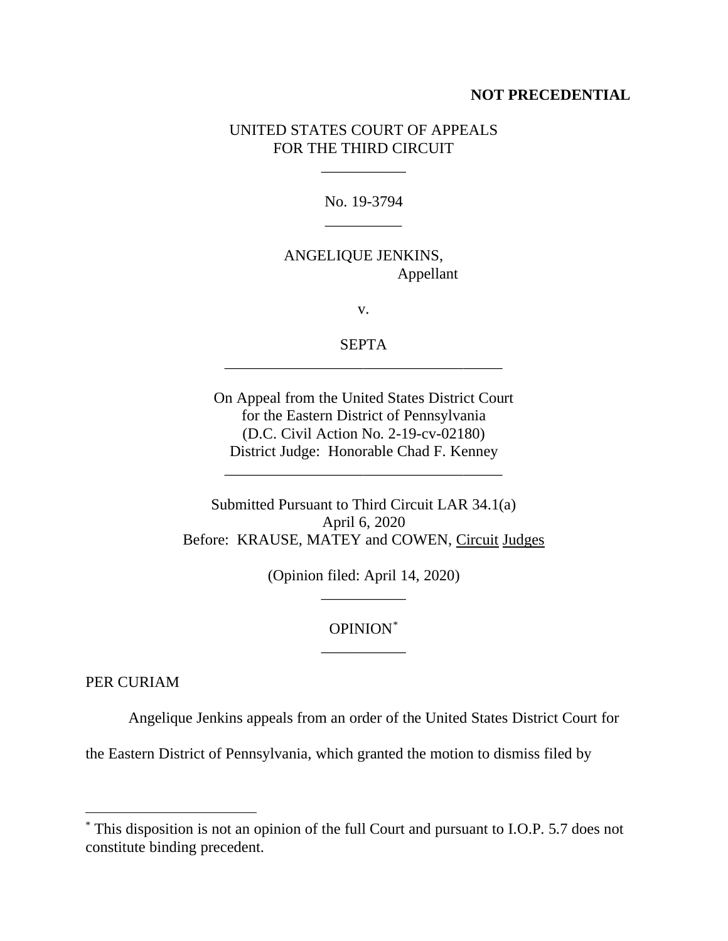#### **NOT PRECEDENTIAL**

### UNITED STATES COURT OF APPEALS FOR THE THIRD CIRCUIT

No. 19-3794 \_\_\_\_\_\_\_\_\_\_

\_\_\_\_\_\_\_\_\_\_\_

## ANGELIQUE JENKINS, Appellant

v.

SEPTA \_\_\_\_\_\_\_\_\_\_\_\_\_\_\_\_\_\_\_\_\_\_\_\_\_\_\_\_\_\_\_\_\_\_\_\_

On Appeal from the United States District Court for the Eastern District of Pennsylvania (D.C. Civil Action No. 2-19-cv-02180) District Judge: Honorable Chad F. Kenney

\_\_\_\_\_\_\_\_\_\_\_\_\_\_\_\_\_\_\_\_\_\_\_\_\_\_\_\_\_\_\_\_\_\_\_\_

Submitted Pursuant to Third Circuit LAR 34.1(a) April 6, 2020 Before: KRAUSE, MATEY and COWEN, Circuit Judges

> (Opinion filed: April 14, 2020) \_\_\_\_\_\_\_\_\_\_\_

> > OPINION[\\*](#page-1-0) \_\_\_\_\_\_\_\_\_\_\_

PER CURIAM

Angelique Jenkins appeals from an order of the United States District Court for

the Eastern District of Pennsylvania, which granted the motion to dismiss filed by

<span id="page-1-0"></span><sup>\*</sup> This disposition is not an opinion of the full Court and pursuant to I.O.P. 5.7 does not constitute binding precedent.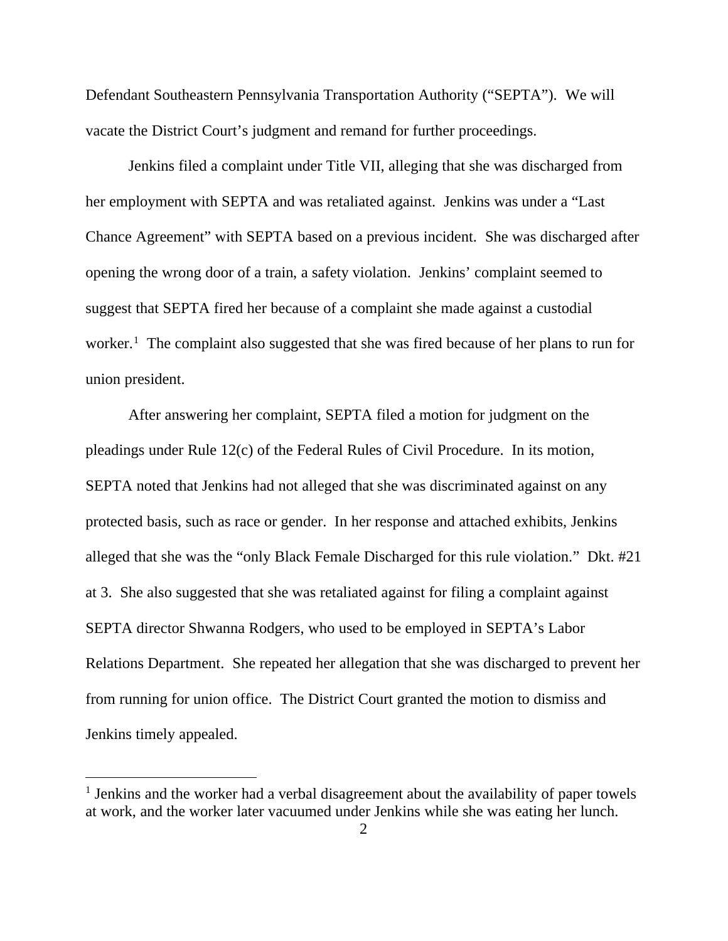Defendant Southeastern Pennsylvania Transportation Authority ("SEPTA"). We will vacate the District Court's judgment and remand for further proceedings.

Jenkins filed a complaint under Title VII, alleging that she was discharged from her employment with SEPTA and was retaliated against. Jenkins was under a "Last Chance Agreement" with SEPTA based on a previous incident. She was discharged after opening the wrong door of a train, a safety violation. Jenkins' complaint seemed to suggest that SEPTA fired her because of a complaint she made against a custodial worker.<sup>[1](#page-2-0)</sup> The complaint also suggested that she was fired because of her plans to run for union president.

After answering her complaint, SEPTA filed a motion for judgment on the pleadings under Rule 12(c) of the Federal Rules of Civil Procedure. In its motion, SEPTA noted that Jenkins had not alleged that she was discriminated against on any protected basis, such as race or gender. In her response and attached exhibits, Jenkins alleged that she was the "only Black Female Discharged for this rule violation." Dkt. #21 at 3. She also suggested that she was retaliated against for filing a complaint against SEPTA director Shwanna Rodgers, who used to be employed in SEPTA's Labor Relations Department. She repeated her allegation that she was discharged to prevent her from running for union office. The District Court granted the motion to dismiss and Jenkins timely appealed.

<span id="page-2-0"></span> $<sup>1</sup>$  Jenkins and the worker had a verbal disagreement about the availability of paper towels</sup> at work, and the worker later vacuumed under Jenkins while she was eating her lunch.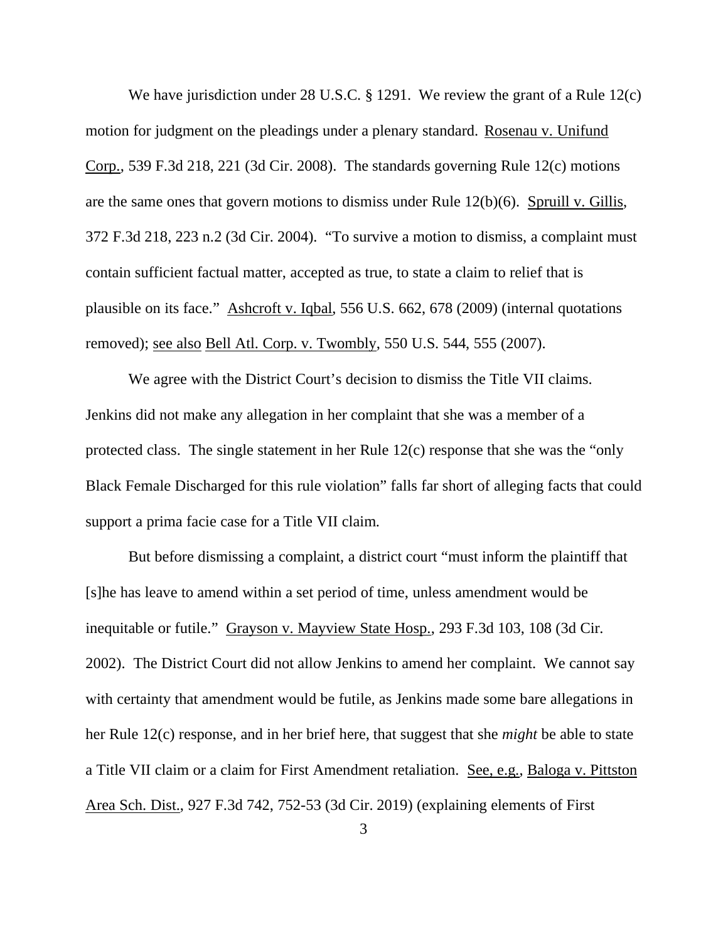We have jurisdiction under 28 U.S.C. § 1291. We review the grant of a Rule 12(c) motion for judgment on the pleadings under a plenary standard. Rosenau v. Unifund Corp., 539 F.3d 218, 221 (3d Cir. 2008). The standards governing Rule 12(c) motions are the same ones that govern motions to dismiss under Rule 12(b)(6). Spruill v. Gillis, 372 F.3d 218, 223 n.2 (3d Cir. 2004). "To survive a motion to dismiss, a complaint must contain sufficient factual matter, accepted as true, to state a claim to relief that is plausible on its face." Ashcroft v. Iqbal, 556 U.S. 662, 678 (2009) (internal quotations removed); see also Bell Atl. Corp. v. Twombly, 550 U.S. 544, 555 (2007).

We agree with the District Court's decision to dismiss the Title VII claims. Jenkins did not make any allegation in her complaint that she was a member of a protected class. The single statement in her Rule 12(c) response that she was the "only Black Female Discharged for this rule violation" falls far short of alleging facts that could support a prima facie case for a Title VII claim.

But before dismissing a complaint, a district court "must inform the plaintiff that [s]he has leave to amend within a set period of time, unless amendment would be inequitable or futile." Grayson v. Mayview State Hosp., 293 F.3d 103, 108 (3d Cir. 2002). The District Court did not allow Jenkins to amend her complaint. We cannot say with certainty that amendment would be futile, as Jenkins made some bare allegations in her Rule 12(c) response, and in her brief here, that suggest that she *might* be able to state a Title VII claim or a claim for First Amendment retaliation. See, e.g., Baloga v. Pittston Area Sch. Dist., 927 F.3d 742, 752-53 (3d Cir. 2019) (explaining elements of First